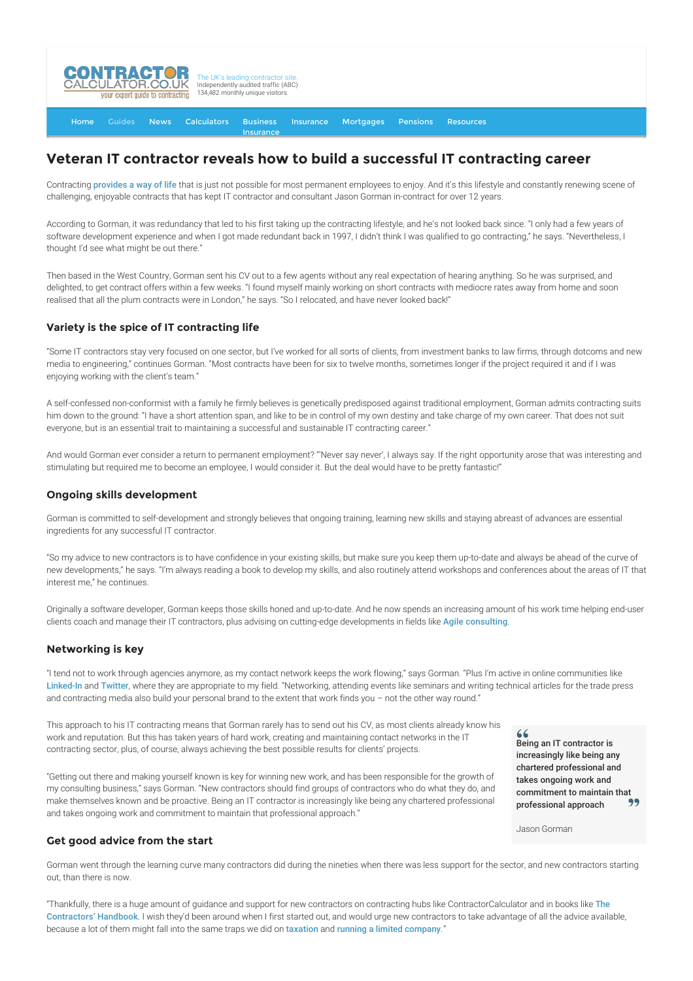

[Home](http://www.contractorcalculator.co.uk/) [Guides](http://www.contractorcalculator.co.uk/Articles.aspx) [News](http://www.contractorcalculator.co.uk/Contractor_News.aspx) [Calculators](http://www.contractorcalculator.co.uk/Calculators.aspx) Business [Insurance](http://www.contractorcalculator.co.uk/Contractor_Insurances.aspx) [Insurance](http://www.contractorcalculator.co.uk/Insurance.aspx) [Mortgages](http://www.contractorcalculator.co.uk/Contractor_Mortgages.aspx) [Pensions](http://www.contractorcalculator.co.uk/Contractor_Pensions.aspx) [Resources](http://www.contractorcalculator.co.uk/Contractor_Resources.aspx)

# **Veteran IT contractor reveals how to build a successful IT contracting career**

Contracting [provides a way of life](http://www.contractorcalculator.co.uk/advantages_disadvantages_contracting.aspx) that is just not possible for most permanent employees to enjoy. And it's this lifestyle and constantly renewing scene of challenging, enjoyable contracts that has kept IT contractor and consultant Jason Gorman in-contract for over 12 years.

According to Gorman, it was redundancy that led to his first taking up the contracting lifestyle, and he's not looked back since. "I only had a few years of software development experience and when I got made redundant back in 1997, I didn't think I was qualified to go contracting," he says. "Nevertheless, I thought I'd see what might be out there."

Then based in the West Country, Gorman sent his CV out to a few agents without any real expectation of hearing anything. So he was surprised, and delighted, to get contract offers within a few weeks. "I found myself mainly working on short contracts with mediocre rates away from home and soon realised that all the plum contracts were in London," he says. "So I relocated, and have never looked back!"

#### **Variety is the spice of IT contracting life**

"Some IT contractors stay very focused on one sector, but I've worked for all sorts of clients, from investment banks to law firms, through dotcoms and new media to engineering," continues Gorman. "Most contracts have been for six to twelve months, sometimes longer if the project required it and if I was enjoying working with the client's team."

A self-confessed non-conformist with a family he firmly believes is genetically predisposed against traditional employment, Gorman admits contracting suits him down to the ground: "I have a short attention span, and like to be in control of my own destiny and take charge of my own career. That does not suit everyone, but is an essential trait to maintaining a successful and sustainable IT contracting career."

And would Gorman ever consider a return to permanent employment? "'Never say never', I always say. If the right opportunity arose that was interesting and stimulating but required me to become an employee, I would consider it. But the deal would have to be pretty fantastic!"

### **Ongoing skills development**

Gorman is committed to self-development and strongly believes that ongoing training, learning new skills and staying abreast of advances are essential ingredients for any successful IT contractor.

"So my advice to new contractors is to have confidence in your existing skills, but make sure you keep them up-to-date and always be ahead of the curve of new developments," he says. "I'm always reading a book to develop my skills, and also routinely attend workshops and conferences about the areas of IT that interest me," he continues.

Originally a software developer, Gorman keeps those skills honed and up-to-date. And he now spends an increasing amount of his work time helping end-user clients coach and manage their IT contractors, plus advising on cutting-edge developments in fields like [Agile consulting](http://www.codemanship.com).

# **Networking is key**

"I tend not to work through agencies anymore, as my contact network keeps the work flowing," says Gorman. "Plus I'm active in online communities like [Linked-In](http://www.linkedin.com/) and [Twitter](http://twitter.com/), where they are appropriate to my field. "Networking, attending events like seminars and writing technical articles for the trade press and contracting media also build your personal brand to the extent that work finds you – not the other way round."

This approach to his IT contracting means that Gorman rarely has to send out his CV, as most clients already know his work and reputation. But this has taken years of hard work, creating and maintaining contact networks in the IT contracting sector, plus, of course, always achieving the best possible results for clients' projects.

"Getting out there and making yourself known is key for winning new work, and has been responsible for the growth of my consulting business," says Gorman. "New contractors should find groups of contractors who do what they do, and make themselves known and be proactive. Being an IT contractor is increasingly like being any chartered professional and takes ongoing work and commitment to maintain that professional approach."

# **Get good advice from the start**

Being an IT contractor is increasingly like being any chartered professional and takes ongoing work and commitment to maintain that<br>professional annuals professional approach

Jason Gorman

Gorman went through the learning curve many contractors did during the nineties when there was less support for the sector, and new contractors starting out, than there is now.

["Thankfully, there is a huge amount of guidance and support for new contractors on contracting hubs like ContractorCalculator and in books like](http://www.contractorshandbook.co.uk/Default.aspx) The Contractors' Handbook. I wish they'd been around when I first started out, and would urge new contractors to take advantage of all the advice available, because a lot of them might fall into the same traps we did on [taxation](http://www.contractorcalculator.co.uk/tax_issues.aspx) and [running a limited company](http://www.contractorcalculator.co.uk/contractors_run_limited_companies.aspx)."